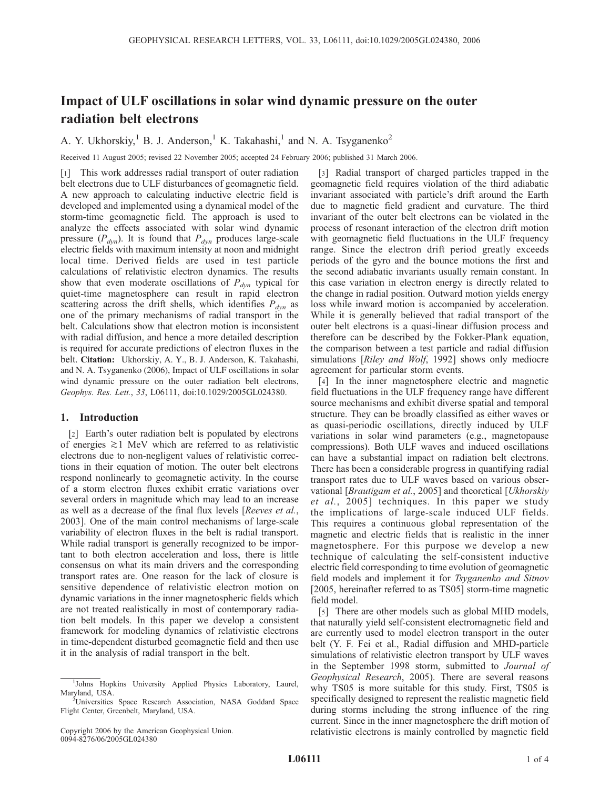# Impact of ULF oscillations in solar wind dynamic pressure on the outer radiation belt electrons

A. Y. Ukhorskiy,<sup>1</sup> B. J. Anderson,<sup>1</sup> K. Takahashi,<sup>1</sup> and N. A. Tsyganenko<sup>2</sup>

Received 11 August 2005; revised 22 November 2005; accepted 24 February 2006; published 31 March 2006.

[1] This work addresses radial transport of outer radiation belt electrons due to ULF disturbances of geomagnetic field. A new approach to calculating inductive electric field is developed and implemented using a dynamical model of the storm-time geomagnetic field. The approach is used to analyze the effects associated with solar wind dynamic pressure  $(P_{dyn})$ . It is found that  $P_{dyn}$  produces large-scale electric fields with maximum intensity at noon and midnight local time. Derived fields are used in test particle calculations of relativistic electron dynamics. The results show that even moderate oscillations of  $P_{dyn}$  typical for quiet-time magnetosphere can result in rapid electron scattering across the drift shells, which identifies  $P_{dyn}$  as one of the primary mechanisms of radial transport in the belt. Calculations show that electron motion is inconsistent with radial diffusion, and hence a more detailed description is required for accurate predictions of electron fluxes in the belt. Citation: Ukhorskiy, A. Y., B. J. Anderson, K. Takahashi, and N. A. Tsyganenko (2006), Impact of ULF oscillations in solar wind dynamic pressure on the outer radiation belt electrons, Geophys. Res. Lett., 33, L06111, doi:10.1029/2005GL024380.

### 1. Introduction

[2] Earth's outer radiation belt is populated by electrons of energies  $\gtrsim$  1 MeV which are referred to as relativistic electrons due to non-negligent values of relativistic corrections in their equation of motion. The outer belt electrons respond nonlinearly to geomagnetic activity. In the course of a storm electron fluxes exhibit erratic variations over several orders in magnitude which may lead to an increase as well as a decrease of the final flux levels [Reeves et al., 2003]. One of the main control mechanisms of large-scale variability of electron fluxes in the belt is radial transport. While radial transport is generally recognized to be important to both electron acceleration and loss, there is little consensus on what its main drivers and the corresponding transport rates are. One reason for the lack of closure is sensitive dependence of relativistic electron motion on dynamic variations in the inner magnetospheric fields which are not treated realistically in most of contemporary radiation belt models. In this paper we develop a consistent framework for modeling dynamics of relativistic electrons in time-dependent disturbed geomagnetic field and then use it in the analysis of radial transport in the belt.

[3] Radial transport of charged particles trapped in the geomagnetic field requires violation of the third adiabatic invariant associated with particle's drift around the Earth due to magnetic field gradient and curvature. The third invariant of the outer belt electrons can be violated in the process of resonant interaction of the electron drift motion with geomagnetic field fluctuations in the ULF frequency range. Since the electron drift period greatly exceeds periods of the gyro and the bounce motions the first and the second adiabatic invariants usually remain constant. In this case variation in electron energy is directly related to the change in radial position. Outward motion yields energy loss while inward motion is accompanied by acceleration. While it is generally believed that radial transport of the outer belt electrons is a quasi-linear diffusion process and therefore can be described by the Fokker-Plank equation, the comparison between a test particle and radial diffusion simulations [*Riley and Wolf*, 1992] shows only mediocre agreement for particular storm events.

[4] In the inner magnetosphere electric and magnetic field fluctuations in the ULF frequency range have different source mechanisms and exhibit diverse spatial and temporal structure. They can be broadly classified as either waves or as quasi-periodic oscillations, directly induced by ULF variations in solar wind parameters (e.g., magnetopause compressions). Both ULF waves and induced oscillations can have a substantial impact on radiation belt electrons. There has been a considerable progress in quantifying radial transport rates due to ULF waves based on various observational [Brautigam et al., 2005] and theoretical [Ukhorskiy et al., 2005] techniques. In this paper we study the implications of large-scale induced ULF fields. This requires a continuous global representation of the magnetic and electric fields that is realistic in the inner magnetosphere. For this purpose we develop a new technique of calculating the self-consistent inductive electric field corresponding to time evolution of geomagnetic field models and implement it for Tsyganenko and Sitnov [2005, hereinafter referred to as TS05] storm-time magnetic field model.

[5] There are other models such as global MHD models, that naturally yield self-consistent electromagnetic field and are currently used to model electron transport in the outer belt (Y. F. Fei et al., Radial diffusion and MHD-particle simulations of relativistic electron transport by ULF waves in the September 1998 storm, submitted to Journal of Geophysical Research, 2005). There are several reasons why TS05 is more suitable for this study. First, TS05 is specifically designed to represent the realistic magnetic field during storms including the strong influence of the ring current. Since in the inner magnetosphere the drift motion of relativistic electrons is mainly controlled by magnetic field

<sup>&</sup>lt;sup>1</sup>Johns Hopkins University Applied Physics Laboratory, Laurel, Maryland, USA. <sup>2</sup>

<sup>&</sup>lt;sup>2</sup>Universities Space Research Association, NASA Goddard Space Flight Center, Greenbelt, Maryland, USA.

Copyright 2006 by the American Geophysical Union. 0094-8276/06/2005GL024380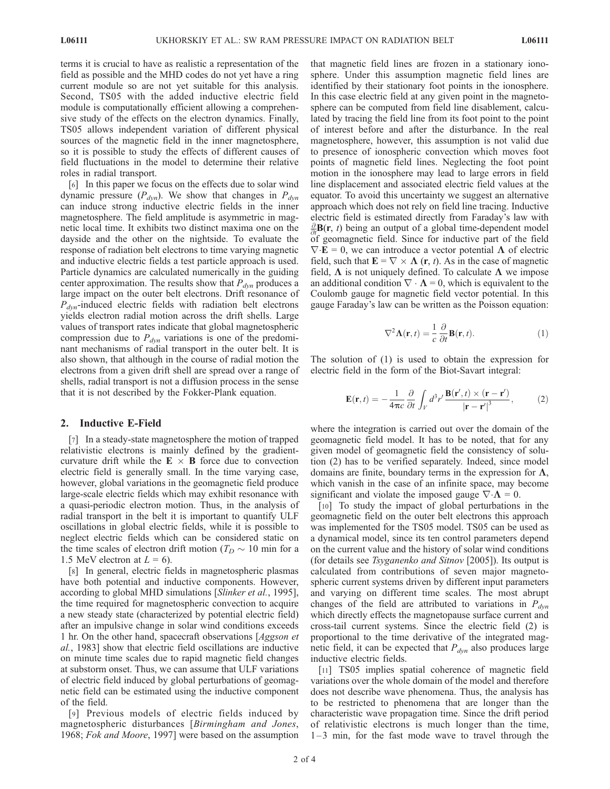terms it is crucial to have as realistic a representation of the field as possible and the MHD codes do not yet have a ring current module so are not yet suitable for this analysis. Second, TS05 with the added inductive electric field module is computationally efficient allowing a comprehensive study of the effects on the electron dynamics. Finally, TS05 allows independent variation of different physical sources of the magnetic field in the inner magnetosphere, so it is possible to study the effects of different causes of field fluctuations in the model to determine their relative roles in radial transport.

[6] In this paper we focus on the effects due to solar wind dynamic pressure  $(P_{dyn})$ . We show that changes in  $P_{dyn}$ can induce strong inductive electric fields in the inner magnetosphere. The field amplitude is asymmetric in magnetic local time. It exhibits two distinct maxima one on the dayside and the other on the nightside. To evaluate the response of radiation belt electrons to time varying magnetic and inductive electric fields a test particle approach is used. Particle dynamics are calculated numerically in the guiding center approximation. The results show that  $P_{dyn}$  produces a large impact on the outer belt electrons. Drift resonance of  $P_{dyn}$ -induced electric fields with radiation belt electrons yields electron radial motion across the drift shells. Large values of transport rates indicate that global magnetospheric compression due to  $P_{dyn}$  variations is one of the predominant mechanisms of radial transport in the outer belt. It is also shown, that although in the course of radial motion the electrons from a given drift shell are spread over a range of shells, radial transport is not a diffusion process in the sense that it is not described by the Fokker-Plank equation.

#### 2. Inductive E-Field

[7] In a steady-state magnetosphere the motion of trapped relativistic electrons is mainly defined by the gradientcurvature drift while the  $E \times B$  force due to convection electric field is generally small. In the time varying case, however, global variations in the geomagnetic field produce large-scale electric fields which may exhibit resonance with a quasi-periodic electron motion. Thus, in the analysis of radial transport in the belt it is important to quantify ULF oscillations in global electric fields, while it is possible to neglect electric fields which can be considered static on the time scales of electron drift motion ( $T_D \sim 10$  min for a 1.5 MeV electron at  $L = 6$ ).

[8] In general, electric fields in magnetospheric plasmas have both potential and inductive components. However, according to global MHD simulations [Slinker et al., 1995], the time required for magnetospheric convection to acquire a new steady state (characterized by potential electric field) after an impulsive change in solar wind conditions exceeds 1 hr. On the other hand, spacecraft observations [Aggson et al., 1983] show that electric field oscillations are inductive on minute time scales due to rapid magnetic field changes at substorm onset. Thus, we can assume that ULF variations of electric field induced by global perturbations of geomagnetic field can be estimated using the inductive component of the field.

[9] Previous models of electric fields induced by magnetospheric disturbances [Birmingham and Jones, 1968; Fok and Moore, 1997] were based on the assumption that magnetic field lines are frozen in a stationary ionosphere. Under this assumption magnetic field lines are identified by their stationary foot points in the ionosphere. In this case electric field at any given point in the magnetosphere can be computed from field line disablement, calculated by tracing the field line from its foot point to the point of interest before and after the disturbance. In the real magnetosphere, however, this assumption is not valid due to presence of ionospheric convection which moves foot points of magnetic field lines. Neglecting the foot point motion in the ionosphere may lead to large errors in field line displacement and associated electric field values at the equator. To avoid this uncertainty we suggest an alternative approach which does not rely on field line tracing. Inductive electric field is estimated directly from Faraday's law with  $\frac{\partial}{\partial t}$ **B**(**r**, *t*) being an output of a global time-dependent model of geomagnetic field. Since for inductive part of the field  $\nabla \cdot \mathbf{E} = 0$ , we can introduce a vector potential  $\Lambda$  of electric field, such that  $\mathbf{E} = \nabla \times \mathbf{\Lambda}$  (r, t). As in the case of magnetic field,  $\Lambda$  is not uniquely defined. To calculate  $\Lambda$  we impose an additional condition  $\nabla \cdot \mathbf{\Lambda} = 0$ , which is equivalent to the Coulomb gauge for magnetic field vector potential. In this gauge Faraday's law can be written as the Poisson equation:

$$
\nabla^2 \mathbf{\Lambda}(\mathbf{r}, t) = \frac{1}{c} \frac{\partial}{\partial t} \mathbf{B}(\mathbf{r}, t).
$$
 (1)

The solution of (1) is used to obtain the expression for electric field in the form of the Biot-Savart integral:

$$
\mathbf{E}(\mathbf{r},t) = -\frac{1}{4\pi c} \frac{\partial}{\partial t} \int_{V} d^{3}r' \frac{\mathbf{B}(\mathbf{r}',t) \times (\mathbf{r} - \mathbf{r}')}{|\mathbf{r} - \mathbf{r}'|^{3}},
$$
 (2)

where the integration is carried out over the domain of the geomagnetic field model. It has to be noted, that for any given model of geomagnetic field the consistency of solution (2) has to be verified separately. Indeed, since model domains are finite, boundary terms in the expression for  $\Lambda$ , which vanish in the case of an infinite space, may become significant and violate the imposed gauge  $\nabla \cdot \mathbf{\Lambda} = 0$ .

[10] To study the impact of global perturbations in the geomagnetic field on the outer belt electrons this approach was implemented for the TS05 model. TS05 can be used as a dynamical model, since its ten control parameters depend on the current value and the history of solar wind conditions (for details see Tsyganenko and Sitnov [2005]). Its output is calculated from contributions of seven major magnetospheric current systems driven by different input parameters and varying on different time scales. The most abrupt changes of the field are attributed to variations in  $P_{dyn}$ which directly effects the magnetopause surface current and cross-tail current systems. Since the electric field (2) is proportional to the time derivative of the integrated magnetic field, it can be expected that  $P_{dyn}$  also produces large inductive electric fields.

[11] TS05 implies spatial coherence of magnetic field variations over the whole domain of the model and therefore does not describe wave phenomena. Thus, the analysis has to be restricted to phenomena that are longer than the characteristic wave propagation time. Since the drift period of relativistic electrons is much longer than the time,  $1-3$  min, for the fast mode wave to travel through the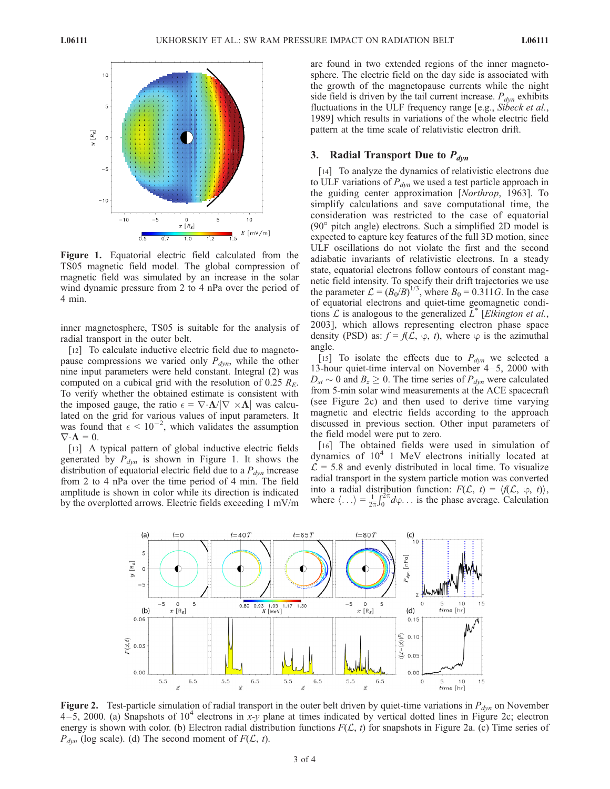

Figure 1. Equatorial electric field calculated from the TS05 magnetic field model. The global compression of magnetic field was simulated by an increase in the solar wind dynamic pressure from 2 to 4 nPa over the period of 4 min.

inner magnetosphere, TS05 is suitable for the analysis of radial transport in the outer belt.

[12] To calculate inductive electric field due to magnetopause compressions we varied only  $P_{dyn}$ , while the other nine input parameters were held constant. Integral (2) was computed on a cubical grid with the resolution of 0.25  $R_E$ . To verify whether the obtained estimate is consistent with the imposed gauge, the ratio  $\epsilon = \nabla \cdot \mathbf{\Lambda}/|\nabla \times \mathbf{\Lambda}|$  was calculated on the grid for various values of input parameters. It was found that  $\epsilon < 10^{-2}$ , which validates the assumption  $\nabla \cdot \mathbf{\Lambda} = 0.$ 

[13] A typical pattern of global inductive electric fields generated by  $P_{dyn}$  is shown in Figure 1. It shows the distribution of equatorial electric field due to a  $P_{dyn}$  increase from 2 to 4 nPa over the time period of 4 min. The field amplitude is shown in color while its direction is indicated by the overplotted arrows. Electric fields exceeding 1 mV/m are found in two extended regions of the inner magnetosphere. The electric field on the day side is associated with the growth of the magnetopause currents while the night side field is driven by the tail current increase.  $P_{dyn}$  exhibits fluctuations in the ULF frequency range [e.g., Sibeck et al., 1989] which results in variations of the whole electric field pattern at the time scale of relativistic electron drift.

## 3. Radial Transport Due to  $P_{dyn}$

[14] To analyze the dynamics of relativistic electrons due to ULF variations of  $P_{dyn}$  we used a test particle approach in the guiding center approximation [Northrop, 1963]. To simplify calculations and save computational time, the consideration was restricted to the case of equatorial  $(90^{\circ}$  pitch angle) electrons. Such a simplified 2D model is expected to capture key features of the full 3D motion, since ULF oscillations do not violate the first and the second adiabatic invariants of relativistic electrons. In a steady state, equatorial electrons follow contours of constant magnetic field intensity. To specify their drift trajectories we use the parameter  $\mathcal{L} = (B_0/B)^{1/3}$ , where  $B_0 = 0.311$  G. In the case of equatorial electrons and quiet-time geomagnetic conditions  $\mathcal L$  is analogous to the generalized  $L^*$  [Elkington et al., 2003], which allows representing electron phase space density (PSD) as:  $f = f(\mathcal{L}, \varphi, t)$ , where  $\varphi$  is the azimuthal angle.

[15] To isolate the effects due to  $P_{dyn}$  we selected a 13-hour quiet-time interval on November 4 –5, 2000 with  $D_{st} \sim 0$  and  $B_z \ge 0$ . The time series of  $P_{dyn}$  were calculated from 5-min solar wind measurements at the ACE spacecraft (see Figure 2c) and then used to derive time varying magnetic and electric fields according to the approach discussed in previous section. Other input parameters of the field model were put to zero.

[16] The obtained fields were used in simulation of dynamics of  $10<sup>4</sup>$  1 MeV electrons initially located at  $\mathcal{L} = 5.8$  and evenly distributed in local time. To visualize radial transport in the system particle motion was converted into a radial distribution function:  $F(\mathcal{L}, t) = \langle f(\mathcal{L}, \varphi, t) \rangle$ , where  $\langle \ldots \rangle = \frac{1}{2\pi}$  $\int_0^{2\pi} d\varphi$ ... is the phase average. Calculation



**Figure 2.** Test-particle simulation of radial transport in the outer belt driven by quiet-time variations in  $P_{dyn}$  on November 4 – 5, 2000. (a) Snapshots of  $10^4$  electrons in x-y plane at times indicated by vertical dotted lines in Figure 2c; electron energy is shown with color. (b) Electron radial distribution functions  $F(\mathcal{L}, t)$  for snapshots in Figure 2a. (c) Time series of  $P_{dyn}$  (log scale). (d) The second moment of  $F(\mathcal{L}, t)$ .